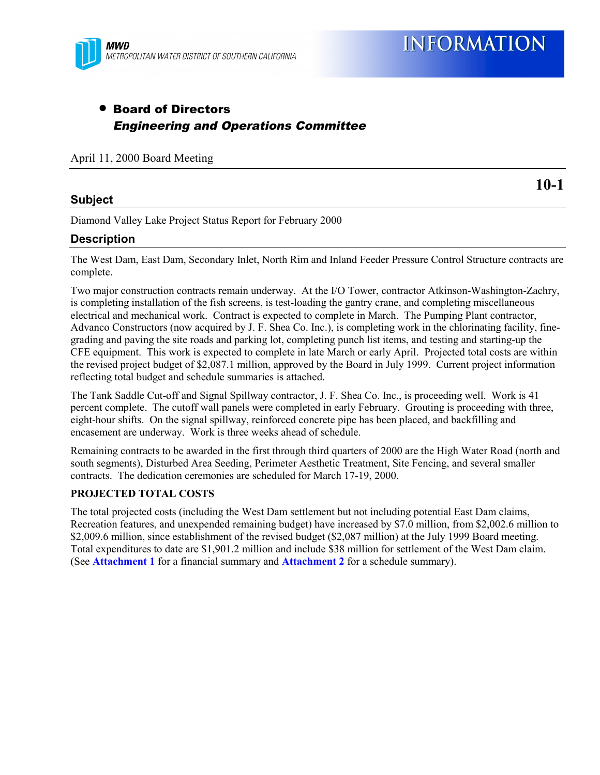

**INFORMATION** 

# • Board of Directors Engineering and Operations Committee

April 11, 2000 Board Meeting

## **Subject**

**10-1**

Diamond Valley Lake Project Status Report for February 2000

## **Description**

The West Dam, East Dam, Secondary Inlet, North Rim and Inland Feeder Pressure Control Structure contracts are complete.

Two major construction contracts remain underway. At the I/O Tower, contractor Atkinson-Washington-Zachry, is completing installation of the fish screens, is test-loading the gantry crane, and completing miscellaneous electrical and mechanical work. Contract is expected to complete in March. The Pumping Plant contractor, Advanco Constructors (now acquired by J. F. Shea Co. Inc.), is completing work in the chlorinating facility, finegrading and paving the site roads and parking lot, completing punch list items, and testing and starting-up the CFE equipment. This work is expected to complete in late March or early April. Projected total costs are within the revised project budget of \$2,087.1 million, approved by the Board in July 1999. Current project information reflecting total budget and schedule summaries is attached.

The Tank Saddle Cut-off and Signal Spillway contractor, J. F. Shea Co. Inc., is proceeding well. Work is 41 percent complete. The cutoff wall panels were completed in early February. Grouting is proceeding with three, eight-hour shifts. On the signal spillway, reinforced concrete pipe has been placed, and backfilling and encasement are underway. Work is three weeks ahead of schedule.

Remaining contracts to be awarded in the first through third quarters of 2000 are the High Water Road (north and south segments), Disturbed Area Seeding, Perimeter Aesthetic Treatment, Site Fencing, and several smaller contracts. The dedication ceremonies are scheduled for March 17-19, 2000.

### **PROJECTED TOTAL COSTS**

The total projected costs (including the West Dam settlement but not including potential East Dam claims, Recreation features, and unexpended remaining budget) have increased by \$7.0 million, from \$2,002.6 million to \$2,009.6 million, since establishment of the revised budget (\$2,087 million) at the July 1999 Board meeting. Total expenditures to date are \$1,901.2 million and include \$38 million for settlement of the West Dam claim. (See **Attachment 1** for a financial summary and **Attachment 2** for a schedule summary).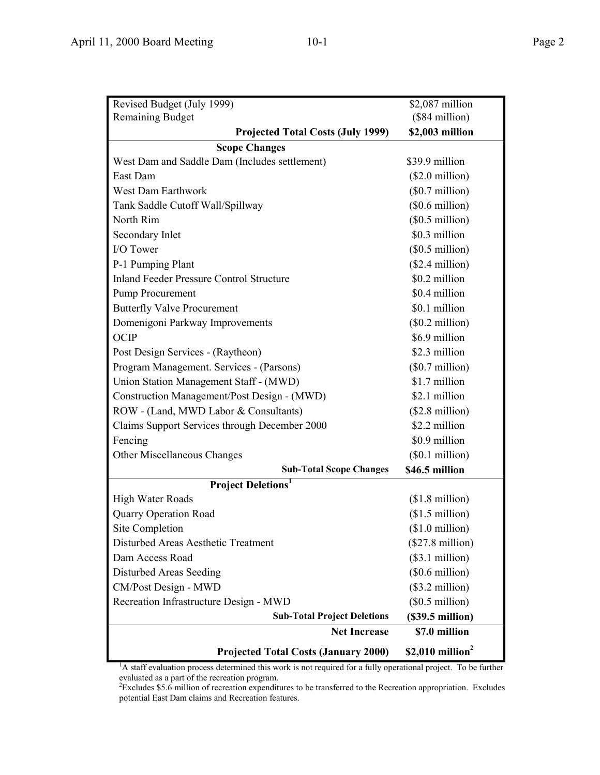| Revised Budget (July 1999)                      | \$2,087 million           |  |  |  |  |  |
|-------------------------------------------------|---------------------------|--|--|--|--|--|
| <b>Remaining Budget</b>                         | (\$84 million)            |  |  |  |  |  |
| <b>Projected Total Costs (July 1999)</b>        | \$2,003 million           |  |  |  |  |  |
| <b>Scope Changes</b>                            |                           |  |  |  |  |  |
| West Dam and Saddle Dam (Includes settlement)   | \$39.9 million            |  |  |  |  |  |
| East Dam                                        | $($2.0\text{ million})$   |  |  |  |  |  |
| <b>West Dam Earthwork</b>                       | $(\$0.7$ million)         |  |  |  |  |  |
| Tank Saddle Cutoff Wall/Spillway                | $($0.6 \text{ million})$  |  |  |  |  |  |
| North Rim                                       | (\$0.5\$ million)         |  |  |  |  |  |
| Secondary Inlet                                 | \$0.3 million             |  |  |  |  |  |
| I/O Tower                                       | $($0.5 \text{ million})$  |  |  |  |  |  |
| P-1 Pumping Plant                               | $($2.4$ million)          |  |  |  |  |  |
| <b>Inland Feeder Pressure Control Structure</b> | \$0.2 million             |  |  |  |  |  |
| Pump Procurement                                | \$0.4 million             |  |  |  |  |  |
| <b>Butterfly Valve Procurement</b>              | \$0.1 million             |  |  |  |  |  |
| Domenigoni Parkway Improvements                 | $($0.2 \text{ million})$  |  |  |  |  |  |
| OCIP                                            | \$6.9 million             |  |  |  |  |  |
| Post Design Services - (Raytheon)               | \$2.3 million             |  |  |  |  |  |
| Program Management. Services - (Parsons)        | $(\$0.7$ million)         |  |  |  |  |  |
| Union Station Management Staff - (MWD)          | \$1.7 million             |  |  |  |  |  |
| Construction Management/Post Design - (MWD)     | \$2.1 million             |  |  |  |  |  |
| ROW - (Land, MWD Labor & Consultants)           | $($2.8 \text{ million})$  |  |  |  |  |  |
| Claims Support Services through December 2000   | \$2.2 million             |  |  |  |  |  |
| Fencing                                         | \$0.9 million             |  |  |  |  |  |
| Other Miscellaneous Changes                     | (\$0.1 million)           |  |  |  |  |  |
| <b>Sub-Total Scope Changes</b>                  | \$46.5 million            |  |  |  |  |  |
| <b>Project Deletions</b> <sup>1</sup>           |                           |  |  |  |  |  |
| High Water Roads                                | $($1.8 \text{ million})$  |  |  |  |  |  |
| <b>Quarry Operation Road</b>                    | $($1.5 \text{ million})$  |  |  |  |  |  |
| <b>Site Completion</b>                          | $$1.0$ million)           |  |  |  |  |  |
| Disturbed Areas Aesthetic Treatment             | $(\$27.8$ million)        |  |  |  |  |  |
| Dam Access Road                                 | (\$3.1 million)           |  |  |  |  |  |
| Disturbed Areas Seeding                         | $(\$0.6$ million)         |  |  |  |  |  |
| CM/Post Design - MWD                            | $($3.2 \text{ million})$  |  |  |  |  |  |
| Recreation Infrastructure Design - MWD          | $($0.5 \text{ million})$  |  |  |  |  |  |
| <b>Sub-Total Project Deletions</b>              | $($39.5 \text{ million})$ |  |  |  |  |  |
| <b>Net Increase</b>                             | \$7.0 million             |  |  |  |  |  |
| <b>Projected Total Costs (January 2000)</b>     | \$2,010 million $2$       |  |  |  |  |  |

<sup>1</sup>A staff evaluation process determined this work is not required for a fully operational project. To be further evaluated as a part of the recreation program. 2 Excludes \$5.6 million of recreation expenditures to be transferred to the Recreation appropriation. Excludes

potential East Dam claims and Recreation features.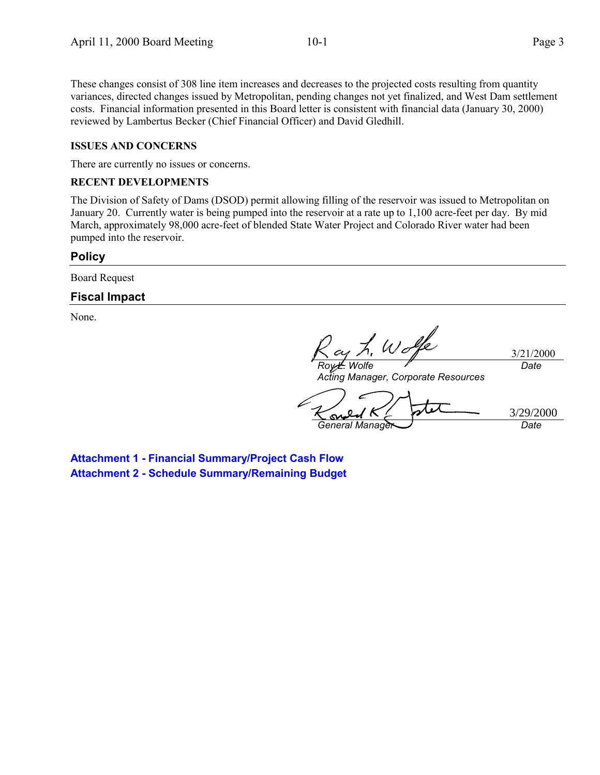These changes consist of 308 line item increases and decreases to the projected costs resulting from quantity variances, directed changes issued by Metropolitan, pending changes not yet finalized, and West Dam settlement costs. Financial information presented in this Board letter is consistent with financial data (January 30, 2000) reviewed by Lambertus Becker (Chief Financial Officer) and David Gledhill.

#### **ISSUES AND CONCERNS**

There are currently no issues or concerns.

#### **RECENT DEVELOPMENTS**

The Division of Safety of Dams (DSOD) permit allowing filling of the reservoir was issued to Metropolitan on January 20. Currently water is being pumped into the reservoir at a rate up to 1,100 acre-feet per day. By mid March, approximately 98,000 acre-feet of blended State Water Project and Colorado River water had been pumped into the reservoir.

#### **Policy**

Board Request

## **Fiscal Impact**

None.

Wolfe *Roy L. Wolfe*

3/21/2000 *Date*

*Acting Manager, Corporate Resources*

3/29/2000S *General Manager Date*

**Attachment 1 - Financial Summary/Project Cash Flow Attachment 2 - Schedule Summary/Remaining Budget**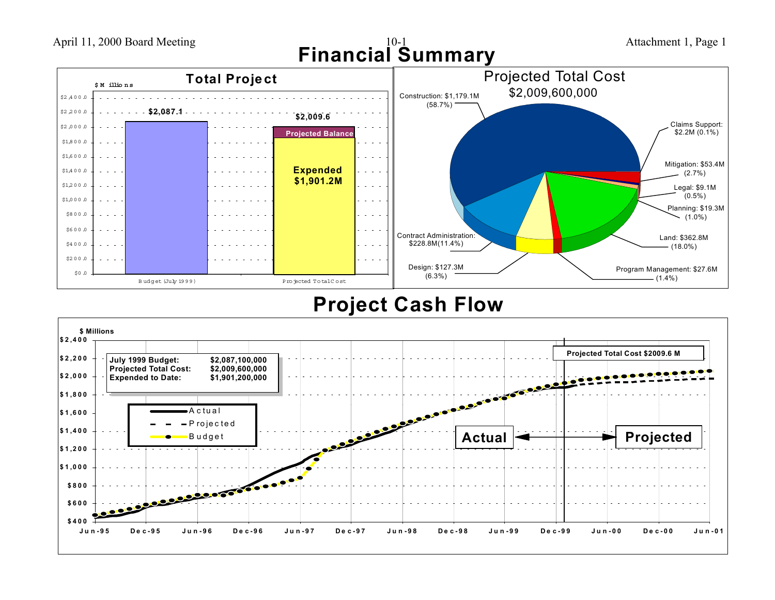

April 11, 2000 Board Meeting

# **Project Cash Flow**